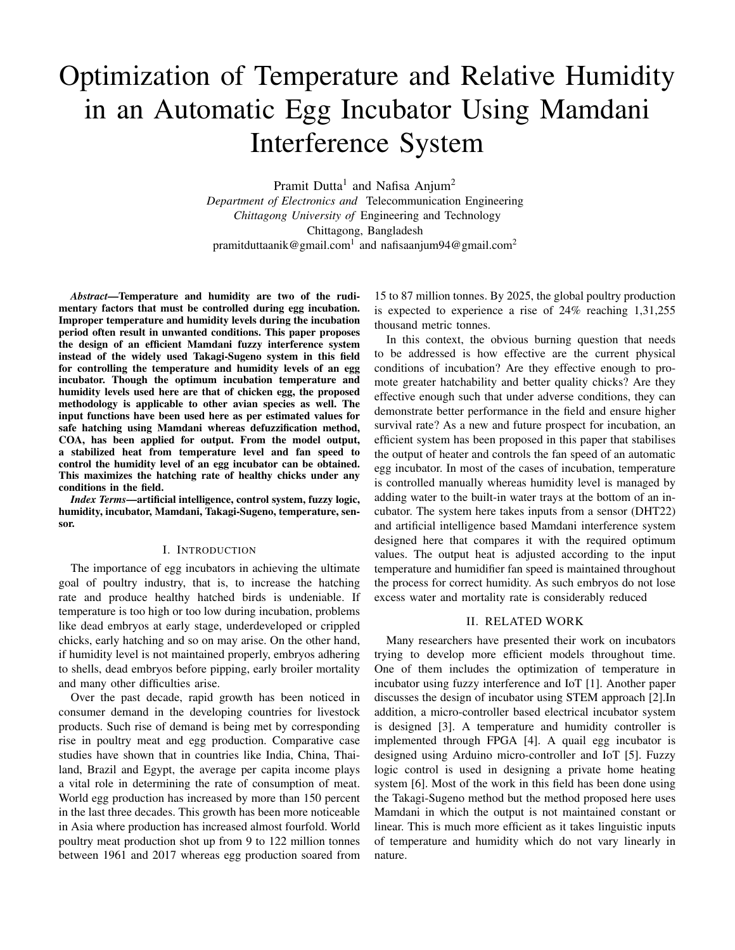# Optimization of Temperature and Relative Humidity in an Automatic Egg Incubator Using Mamdani Interference System

Pramit Dutta<sup>1</sup> and Nafisa Anjum<sup>2</sup> *Department of Electronics and* Telecommunication Engineering *Chittagong University of* Engineering and Technology Chittagong, Bangladesh pramitduttaanik@gmail.com $^{\rm l}$  and nafisaanjum94@gmail.com $^{\rm 2}$ 

*Abstract*—Temperature and humidity are two of the rudimentary factors that must be controlled during egg incubation. Improper temperature and humidity levels during the incubation period often result in unwanted conditions. This paper proposes the design of an efficient Mamdani fuzzy interference system instead of the widely used Takagi-Sugeno system in this field for controlling the temperature and humidity levels of an egg incubator. Though the optimum incubation temperature and humidity levels used here are that of chicken egg, the proposed methodology is applicable to other avian species as well. The input functions have been used here as per estimated values for safe hatching using Mamdani whereas defuzzification method, COA, has been applied for output. From the model output, a stabilized heat from temperature level and fan speed to control the humidity level of an egg incubator can be obtained. This maximizes the hatching rate of healthy chicks under any conditions in the field.

*Index Terms*—artificial intelligence, control system, fuzzy logic, humidity, incubator, Mamdani, Takagi-Sugeno, temperature, sensor.

#### I. INTRODUCTION

The importance of egg incubators in achieving the ultimate goal of poultry industry, that is, to increase the hatching rate and produce healthy hatched birds is undeniable. If temperature is too high or too low during incubation, problems like dead embryos at early stage, underdeveloped or crippled chicks, early hatching and so on may arise. On the other hand, if humidity level is not maintained properly, embryos adhering to shells, dead embryos before pipping, early broiler mortality and many other difficulties arise.

Over the past decade, rapid growth has been noticed in consumer demand in the developing countries for livestock products. Such rise of demand is being met by corresponding rise in poultry meat and egg production. Comparative case studies have shown that in countries like India, China, Thailand, Brazil and Egypt, the average per capita income plays a vital role in determining the rate of consumption of meat. World egg production has increased by more than 150 percent in the last three decades. This growth has been more noticeable in Asia where production has increased almost fourfold. World poultry meat production shot up from 9 to 122 million tonnes between 1961 and 2017 whereas egg production soared from

15 to 87 million tonnes. By 2025, the global poultry production is expected to experience a rise of 24% reaching 1,31,255 thousand metric tonnes.

In this context, the obvious burning question that needs to be addressed is how effective are the current physical conditions of incubation? Are they effective enough to promote greater hatchability and better quality chicks? Are they effective enough such that under adverse conditions, they can demonstrate better performance in the field and ensure higher survival rate? As a new and future prospect for incubation, an efficient system has been proposed in this paper that stabilises the output of heater and controls the fan speed of an automatic egg incubator. In most of the cases of incubation, temperature is controlled manually whereas humidity level is managed by adding water to the built-in water trays at the bottom of an incubator. The system here takes inputs from a sensor (DHT22) and artificial intelligence based Mamdani interference system designed here that compares it with the required optimum values. The output heat is adjusted according to the input temperature and humidifier fan speed is maintained throughout the process for correct humidity. As such embryos do not lose excess water and mortality rate is considerably reduced

## II. RELATED WORK

Many researchers have presented their work on incubators trying to develop more efficient models throughout time. One of them includes the optimization of temperature in incubator using fuzzy interference and IoT [1]. Another paper discusses the design of incubator using STEM approach [2].In addition, a micro-controller based electrical incubator system is designed [3]. A temperature and humidity controller is implemented through FPGA [4]. A quail egg incubator is designed using Arduino micro-controller and IoT [5]. Fuzzy logic control is used in designing a private home heating system [6]. Most of the work in this field has been done using the Takagi-Sugeno method but the method proposed here uses Mamdani in which the output is not maintained constant or linear. This is much more efficient as it takes linguistic inputs of temperature and humidity which do not vary linearly in nature.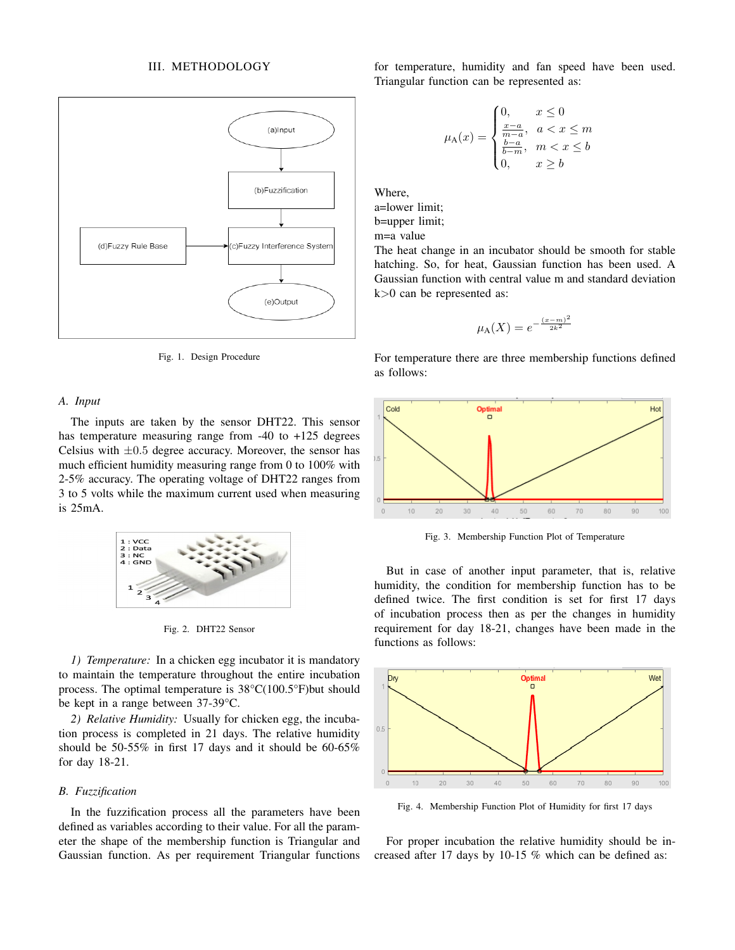## III. METHODOLOGY



Fig. 1. Design Procedure

## *A. Input*

The inputs are taken by the sensor DHT22. This sensor has temperature measuring range from -40 to +125 degrees Celsius with  $\pm 0.5$  degree accuracy. Moreover, the sensor has much efficient humidity measuring range from 0 to 100% with 2-5% accuracy. The operating voltage of DHT22 ranges from 3 to 5 volts while the maximum current used when measuring is 25mA.



Fig. 2. DHT22 Sensor

*1) Temperature:* In a chicken egg incubator it is mandatory to maintain the temperature throughout the entire incubation process. The optimal temperature is 38°C(100.5°F)but should be kept in a range between 37-39°C.

*2) Relative Humidity:* Usually for chicken egg, the incubation process is completed in 21 days. The relative humidity should be 50-55% in first 17 days and it should be 60-65% for day 18-21.

## *B. Fuzzification*

In the fuzzification process all the parameters have been defined as variables according to their value. For all the parameter the shape of the membership function is Triangular and Gaussian function. As per requirement Triangular functions for temperature, humidity and fan speed have been used. Triangular function can be represented as:

$$
\mu_{A}(x) = \begin{cases} 0, & x \le 0 \\ \frac{x-a}{m-a}, & a < x \le m \\ \frac{b-a}{b-m}, & m < x \le b \\ 0, & x \ge b \end{cases}
$$

Where, a=lower limit; b=upper limit;

m=a value

The heat change in an incubator should be smooth for stable hatching. So, for heat, Gaussian function has been used. A Gaussian function with central value m and standard deviation k>0 can be represented as:

$$
\mu_{\mathcal{A}}(X) = e^{-\frac{(x-m)^2}{2k^2}}
$$

For temperature there are three membership functions defined





Fig. 3. Membership Function Plot of Temperature

But in case of another input parameter, that is, relative humidity, the condition for membership function has to be defined twice. The first condition is set for first 17 days of incubation process then as per the changes in humidity requirement for day 18-21, changes have been made in the functions as follows:



Fig. 4. Membership Function Plot of Humidity for first 17 days

For proper incubation the relative humidity should be increased after 17 days by 10-15 % which can be defined as: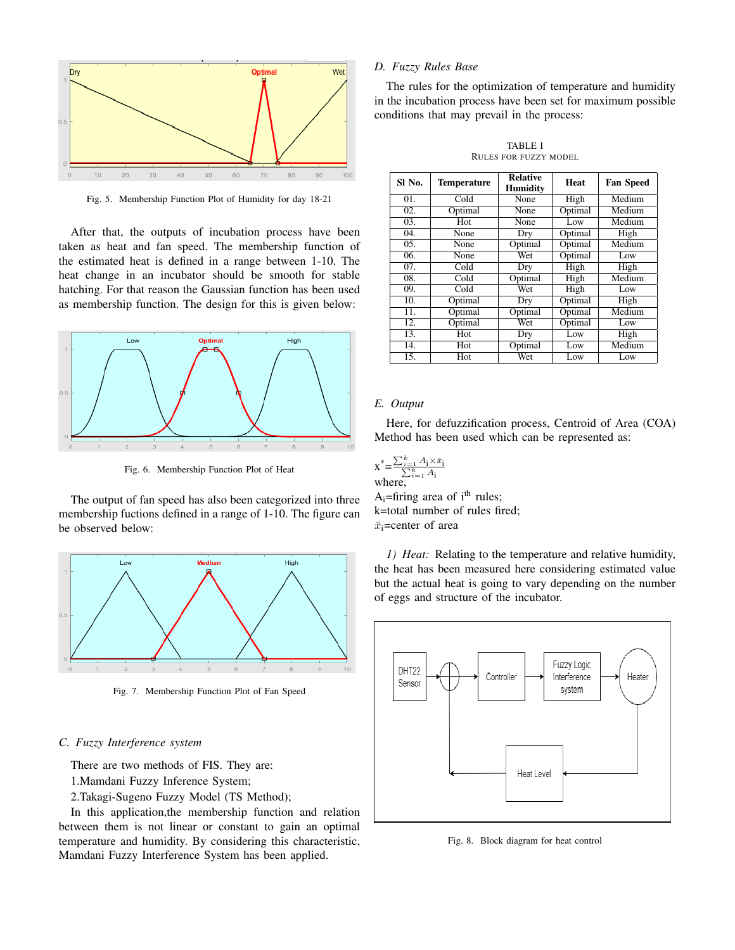

Fig. 5. Membership Function Plot of Humidity for day 18-21

After that, the outputs of incubation process have been taken as heat and fan speed. The membership function of the estimated heat is defined in a range between 1-10. The heat change in an incubator should be smooth for stable hatching. For that reason the Gaussian function has been used as membership function. The design for this is given below:



Fig. 6. Membership Function Plot of Heat

The output of fan speed has also been categorized into three membership fuctions defined in a range of 1-10. The figure can be observed below:



Fig. 7. Membership Function Plot of Fan Speed

## *C. Fuzzy Interference system*

There are two methods of FIS. They are:

1.Mamdani Fuzzy Inference System;

2.Takagi-Sugeno Fuzzy Model (TS Method);

In this application,the membership function and relation between them is not linear or constant to gain an optimal temperature and humidity. By considering this characteristic, Mamdani Fuzzy Interference System has been applied.

# *D. Fuzzy Rules Base*

The rules for the optimization of temperature and humidity in the incubation process have been set for maximum possible conditions that may prevail in the process:

TABLE I RULES FOR FUZZY MODEL

| SI No. | <b>Temperature</b> | <b>Relative</b><br><b>Humidity</b> | Heat    | <b>Fan Speed</b> |
|--------|--------------------|------------------------------------|---------|------------------|
| 01.    | Cold               | None                               | High    | Medium           |
| 02.    | Optimal            | None                               | Optimal | Medium           |
| 03.    | Hot                | None                               | Low     | Medium           |
| 04.    | None               | Dry                                | Optimal | High             |
| 05.    | None               | Optimal                            | Optimal | Medium           |
| 06.    | None               | Wet                                | Optimal | Low              |
| 07.    | Cold               | Dry                                | High    | High             |
| 08.    | Cold               | Optimal                            | High    | Medium           |
| 09.    | Cold               | Wet                                | High    | Low              |
| 10.    | Optimal            | Dry                                | Optimal | High             |
| 11.    | Optimal            | Optimal                            | Optimal | Medium           |
| 12.    | Optimal            | Wet                                | Optimal | Low              |
| 13.    | Hot                | Dry                                | Low     | High             |
| 14.    | Hot                | Optimal                            | Low     | Medium           |
| 15.    | Hot                | Wet                                | Low     | Low              |

## *E. Output*

Here, for defuzzification process, Centroid of Area (COA) Method has been used which can be represented as:

$$
x^* = \frac{\sum_{i=1}^k A_i \times \bar{x}_i}{\sum_{i=1}^k A_i}
$$
  
where,

A<sub>i</sub>=firing area of  $i<sup>th</sup>$  rules; k=total number of rules fired;  $\bar{x}_i$ =center of area

*1) Heat:* Relating to the temperature and relative humidity, the heat has been measured here considering estimated value but the actual heat is going to vary depending on the number of eggs and structure of the incubator.



Fig. 8. Block diagram for heat control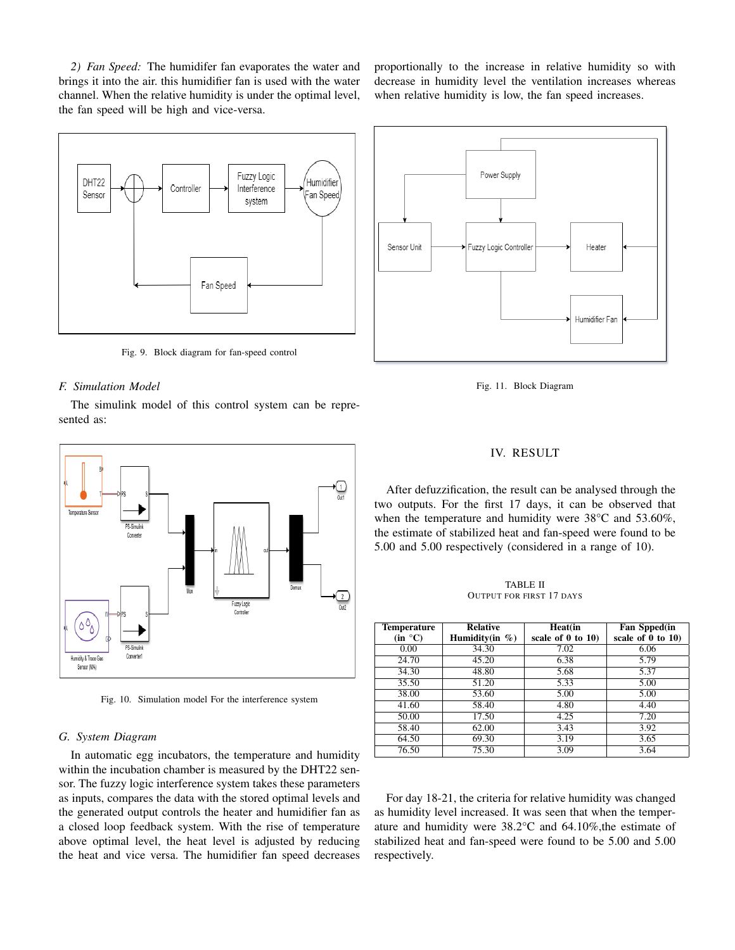*2) Fan Speed:* The humidifer fan evaporates the water and brings it into the air. this humidifier fan is used with the water channel. When the relative humidity is under the optimal level, the fan speed will be high and vice-versa.



Fig. 9. Block diagram for fan-speed control

### *F. Simulation Model*

The simulink model of this control system can be represented as:



Fig. 10. Simulation model For the interference system

#### *G. System Diagram*

In automatic egg incubators, the temperature and humidity within the incubation chamber is measured by the DHT22 sensor. The fuzzy logic interference system takes these parameters as inputs, compares the data with the stored optimal levels and the generated output controls the heater and humidifier fan as a closed loop feedback system. With the rise of temperature above optimal level, the heat level is adjusted by reducing the heat and vice versa. The humidifier fan speed decreases proportionally to the increase in relative humidity so with decrease in humidity level the ventilation increases whereas when relative humidity is low, the fan speed increases.



Fig. 11. Block Diagram

### IV. RESULT

After defuzzification, the result can be analysed through the two outputs. For the first 17 days, it can be observed that when the temperature and humidity were 38<sup>o</sup>C and 53.60%, the estimate of stabilized heat and fan-speed were found to be 5.00 and 5.00 respectively (considered in a range of 10).

TABLE II OUTPUT FOR FIRST 17 DAYS

| <b>Temperature</b> | <b>Relative</b>    | Heat(in                | Fan Spped(in           |
|--------------------|--------------------|------------------------|------------------------|
| (in °C)            | Humidity(in $\%$ ) | scale of $0$ to $10$ ) | scale of $0$ to $10$ ) |
| 0.00               | 34.30              | 7.02                   | 6.06                   |
| 24.70              | 45.20              | 6.38                   | 5.79                   |
| 34.30              | 48.80              | 5.68                   | 5.37                   |
| 35.50              | 51.20              | 5.33                   | 5.00                   |
| 38.00              | 53.60              | 5.00                   | 5.00                   |
| 41.60              | 58.40              | 4.80                   | 4.40                   |
| 50.00              | 17.50              | 4.25                   | 7.20                   |
| 58.40              | 62.00              | 3.43                   | 3.92                   |
| 64.50              | 69.30              | 3.19                   | 3.65                   |
| 76.50              | 75.30              | 3.09                   | 3.64                   |

For day 18-21, the criteria for relative humidity was changed as humidity level increased. It was seen that when the temperature and humidity were 38.2°C and 64.10%,the estimate of stabilized heat and fan-speed were found to be 5.00 and 5.00 respectively.